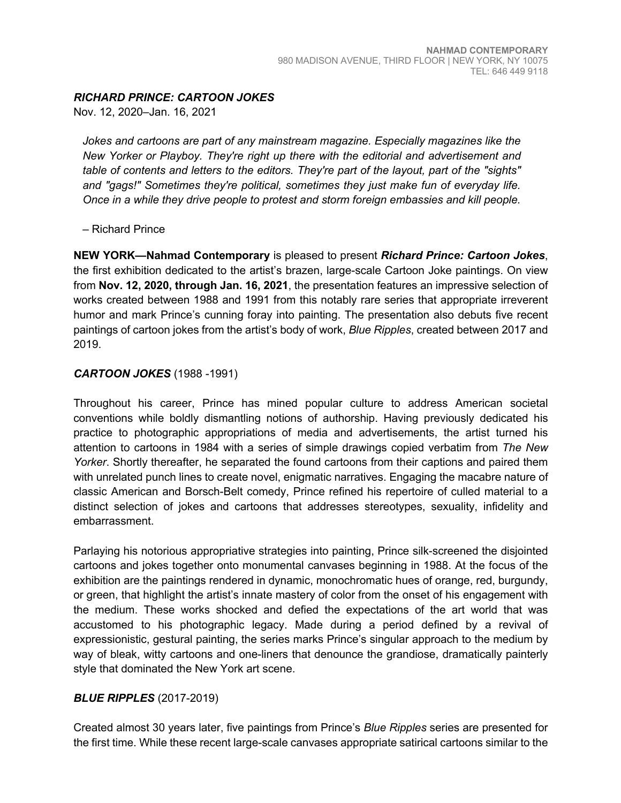## *RICHARD PRINCE: CARTOON JOKES*

Nov. 12, 2020–Jan. 16, 2021

*Jokes and cartoons are part of any mainstream magazine. Especially magazines like the New Yorker or Playboy. They're right up there with the editorial and advertisement and table of contents and letters to the editors. They're part of the layout, part of the "sights" and "gags!" Sometimes they're political, sometimes they just make fun of everyday life. Once in a while they drive people to protest and storm foreign embassies and kill people.* 

– Richard Prince

**NEW YORK—Nahmad Contemporary** is pleased to present *Richard Prince: Cartoon Jokes*, the first exhibition dedicated to the artist's brazen, large-scale Cartoon Joke paintings. On view from **Nov. 12, 2020, through Jan. 16, 2021**, the presentation features an impressive selection of works created between 1988 and 1991 from this notably rare series that appropriate irreverent humor and mark Prince's cunning foray into painting. The presentation also debuts five recent paintings of cartoon jokes from the artist's body of work, *Blue Ripples*, created between 2017 and 2019.

## *CARTOON JOKES* (1988 -1991)

Throughout his career, Prince has mined popular culture to address American societal conventions while boldly dismantling notions of authorship. Having previously dedicated his practice to photographic appropriations of media and advertisements, the artist turned his attention to cartoons in 1984 with a series of simple drawings copied verbatim from *The New Yorker*. Shortly thereafter, he separated the found cartoons from their captions and paired them with unrelated punch lines to create novel, enigmatic narratives. Engaging the macabre nature of classic American and Borsch-Belt comedy, Prince refined his repertoire of culled material to a distinct selection of jokes and cartoons that addresses stereotypes, sexuality, infidelity and embarrassment.

Parlaying his notorious appropriative strategies into painting, Prince silk-screened the disjointed cartoons and jokes together onto monumental canvases beginning in 1988. At the focus of the exhibition are the paintings rendered in dynamic, monochromatic hues of orange, red, burgundy, or green, that highlight the artist's innate mastery of color from the onset of his engagement with the medium. These works shocked and defied the expectations of the art world that was accustomed to his photographic legacy. Made during a period defined by a revival of expressionistic, gestural painting, the series marks Prince's singular approach to the medium by way of bleak, witty cartoons and one-liners that denounce the grandiose, dramatically painterly style that dominated the New York art scene.

## *BLUE RIPPLES* (2017-2019)

Created almost 30 years later, five paintings from Prince's *Blue Ripples* series are presented for the first time. While these recent large-scale canvases appropriate satirical cartoons similar to the